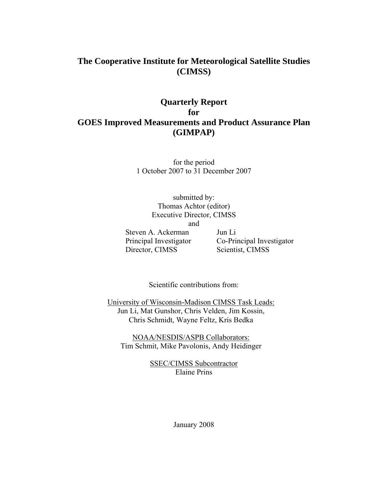## **The Cooperative Institute for Meteorological Satellite Studies (CIMSS)**

# **Quarterly Report for GOES Improved Measurements and Product Assurance Plan (GIMPAP)**

for the period 1 October 2007 to 31 December 2007

submitted by: Thomas Achtor (editor) Executive Director, CIMSS and

Steven A. Ackerman Jun Li Director, CIMSS Scientist, CIMSS

Principal Investigator Co-Principal Investigator

Scientific contributions from:

University of Wisconsin-Madison CIMSS Task Leads: Jun Li, Mat Gunshor, Chris Velden, Jim Kossin, Chris Schmidt, Wayne Feltz, Kris Bedka

NOAA/NESDIS/ASPB Collaborators: Tim Schmit, Mike Pavolonis, Andy Heidinger

> SSEC/CIMSS Subcontractor Elaine Prins

> > January 2008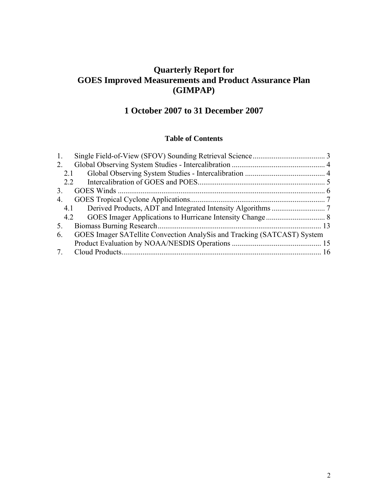# **Quarterly Report for GOES Improved Measurements and Product Assurance Plan (GIMPAP)**

# **1 October 2007 to 31 December 2007**

### **Table of Contents**

| 1.             |                                                                         |  |
|----------------|-------------------------------------------------------------------------|--|
| 2.             |                                                                         |  |
| 2.1            |                                                                         |  |
| 2.2            |                                                                         |  |
| 3 <sub>1</sub> |                                                                         |  |
| 4.             |                                                                         |  |
|                |                                                                         |  |
|                |                                                                         |  |
| 5.             |                                                                         |  |
| 6.             | GOES Imager SATellite Convection AnalySis and Tracking (SATCAST) System |  |
|                |                                                                         |  |
|                |                                                                         |  |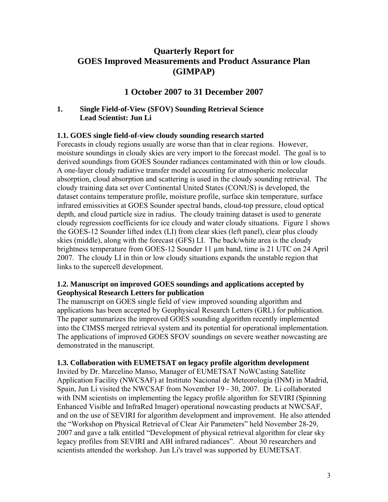# **Quarterly Report for GOES Improved Measurements and Product Assurance Plan (GIMPAP)**

# **1 October 2007 to 31 December 2007**

### **1. Single Field-of-View (SFOV) Sounding Retrieval Science Lead Scientist: Jun Li**

### **1.1. GOES single field-of-view cloudy sounding research started**

Forecasts in cloudy regions usually are worse than that in clear regions. However, moisture soundings in cloudy skies are very import to the forecast model. The goal is to derived soundings from GOES Sounder radiances contaminated with thin or low clouds. A one-layer cloudy radiative transfer model accounting for atmospheric molecular absorption, cloud absorption and scattering is used in the cloudy sounding retrieval. The cloudy training data set over Continental United States (CONUS) is developed, the dataset contains temperature profile, moisture profile, surface skin temperature, surface infrared emissivities at GOES Sounder spectral bands, cloud-top pressure, cloud optical depth, and cloud particle size in radius. The cloudy training dataset is used to generate cloudy regression coefficients for ice cloudy and water cloudy situations. Figure 1 shows the GOES-12 Sounder lifted index (LI) from clear skies (left panel), clear plus cloudy skies (middle), along with the forecast (GFS) LI. The back/white area is the cloudy brightness temperature from GOES-12 Sounder 11 µm band, time is 21 UTC on 24 April 2007. The cloudy LI in thin or low cloudy situations expands the unstable region that links to the supercell development.

### **1.2. Manuscript on improved GOES soundings and applications accepted by Geophysical Research Letters for publication**

The manuscript on GOES single field of view improved sounding algorithm and applications has been accepted by Geophysical Research Letters (GRL) for publication. The paper summarizes the improved GOES sounding algorithm recently implemented into the CIMSS merged retrieval system and its potential for operational implementation. The applications of improved GOES SFOV soundings on severe weather nowcasting are demonstrated in the manuscript.

### **1.3. Collaboration with EUMETSAT on legacy profile algorithm development**

Invited by Dr. Marcelino Manso, Manager of EUMETSAT NoWCasting Satellite Application Facility (NWCSAF) at Instituto Nacional de Meteorología (INM) in Madrid, Spain, Jun Li visited the NWCSAF from November 19 - 30, 2007. Dr. Li collaborated with INM scientists on implementing the legacy profile algorithm for SEVIRI (Spinning Enhanced Visible and InfraRed Imager) operational nowcasting products at NWCSAF, and on the use of SEVIRI for algorithm development and improvement. He also attended the "Workshop on Physical Retrieval of Clear Air Parameters" held November 28-29, 2007 and gave a talk entitled "Development of physical retrieval algorithm for clear sky legacy profiles from SEVIRI and ABI infrared radiances". About 30 researchers and scientists attended the workshop. Jun Li's travel was supported by EUMETSAT.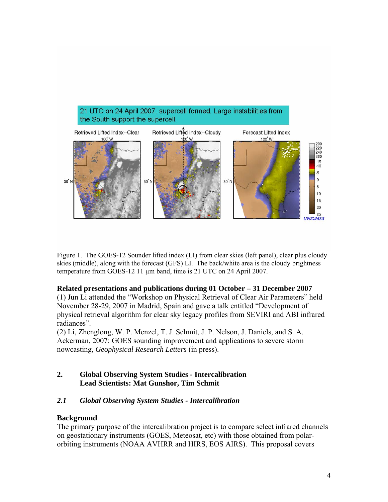

Figure 1. The GOES-12 Sounder lifted index (LI) from clear skies (left panel), clear plus cloudy skies (middle), along with the forecast (GFS) LI. The back/white area is the cloudy brightness temperature from GOES-12 11 µm band, time is 21 UTC on 24 April 2007.

### **Related presentations and publications during 01 October – 31 December 2007**

(1) Jun Li attended the "Workshop on Physical Retrieval of Clear Air Parameters" held November 28-29, 2007 in Madrid, Spain and gave a talk entitled "Development of physical retrieval algorithm for clear sky legacy profiles from SEVIRI and ABI infrared radiances".

(2) Li, Zhenglong, W. P. Menzel, T. J. Schmit, J. P. Nelson, J. Daniels, and S. A. Ackerman, 2007: GOES sounding improvement and applications to severe storm nowcasting, *Geophysical Research Letters* (in press).

### **2. Global Observing System Studies - Intercalibration Lead Scientists: Mat Gunshor, Tim Schmit**

### *2.1 Global Observing System Studies - Intercalibration*

### **Background**

The primary purpose of the intercalibration project is to compare select infrared channels on geostationary instruments (GOES, Meteosat, etc) with those obtained from polarorbiting instruments (NOAA AVHRR and HIRS, EOS AIRS). This proposal covers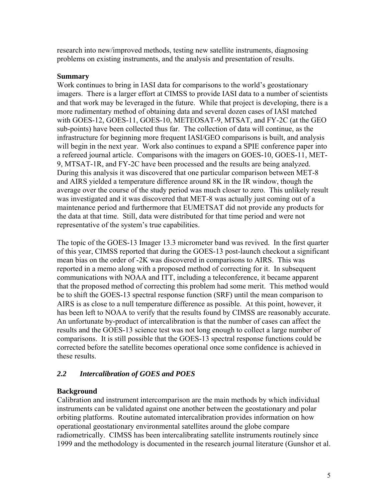research into new/improved methods, testing new satellite instruments, diagnosing problems on existing instruments, and the analysis and presentation of results.

#### **Summary**

Work continues to bring in IASI data for comparisons to the world's geostationary imagers. There is a larger effort at CIMSS to provide IASI data to a number of scientists and that work may be leveraged in the future. While that project is developing, there is a more rudimentary method of obtaining data and several dozen cases of IASI matched with GOES-12, GOES-11, GOES-10, METEOSAT-9, MTSAT, and FY-2C (at the GEO sub-points) have been collected thus far. The collection of data will continue, as the infrastructure for beginning more frequent IASI/GEO comparisons is built, and analysis will begin in the next year. Work also continues to expand a SPIE conference paper into a refereed journal article. Comparisons with the imagers on GOES-10, GOES-11, MET-9, MTSAT-1R, and FY-2C have been processed and the results are being analyzed. During this analysis it was discovered that one particular comparison between MET-8 and AIRS yielded a temperature difference around 8K in the IR window, though the average over the course of the study period was much closer to zero. This unlikely result was investigated and it was discovered that MET-8 was actually just coming out of a maintenance period and furthermore that EUMETSAT did not provide any products for the data at that time. Still, data were distributed for that time period and were not representative of the system's true capabilities.

The topic of the GOES-13 Imager 13.3 micrometer band was revived. In the first quarter of this year, CIMSS reported that during the GOES-13 post-launch checkout a significant mean bias on the order of -2K was discovered in comparisons to AIRS. This was reported in a memo along with a proposed method of correcting for it. In subsequent communications with NOAA and ITT, including a teleconference, it became apparent that the proposed method of correcting this problem had some merit. This method would be to shift the GOES-13 spectral response function (SRF) until the mean comparison to AIRS is as close to a null temperature difference as possible. At this point, however, it has been left to NOAA to verify that the results found by CIMSS are reasonably accurate. An unfortunate by-product of intercalibration is that the number of cases can affect the results and the GOES-13 science test was not long enough to collect a large number of comparisons. It is still possible that the GOES-13 spectral response functions could be corrected before the satellite becomes operational once some confidence is achieved in these results.

### *2.2 Intercalibration of GOES and POES*

### **Background**

Calibration and instrument intercomparison are the main methods by which individual instruments can be validated against one another between the geostationary and polar orbiting platforms. Routine automated intercalibration provides information on how operational geostationary environmental satellites around the globe compare radiometrically. CIMSS has been intercalibrating satellite instruments routinely since 1999 and the methodology is documented in the research journal literature (Gunshor et al.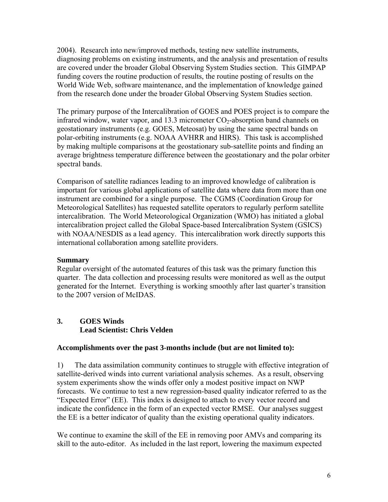2004). Research into new/improved methods, testing new satellite instruments, diagnosing problems on existing instruments, and the analysis and presentation of results are covered under the broader Global Observing System Studies section. This GIMPAP funding covers the routine production of results, the routine posting of results on the World Wide Web, software maintenance, and the implementation of knowledge gained from the research done under the broader Global Observing System Studies section.

The primary purpose of the Intercalibration of GOES and POES project is to compare the infrared window, water vapor, and 13.3 micrometer  $CO<sub>2</sub>$ -absorption band channels on geostationary instruments (e.g. GOES, Meteosat) by using the same spectral bands on polar-orbiting instruments (e.g. NOAA AVHRR and HIRS). This task is accomplished by making multiple comparisons at the geostationary sub-satellite points and finding an average brightness temperature difference between the geostationary and the polar orbiter spectral bands.

Comparison of satellite radiances leading to an improved knowledge of calibration is important for various global applications of satellite data where data from more than one instrument are combined for a single purpose. The CGMS (Coordination Group for Meteorological Satellites) has requested satellite operators to regularly perform satellite intercalibration. The World Meteorological Organization (WMO) has initiated a global intercalibration project called the Global Space-based Intercalibration System (GSICS) with NOAA/NESDIS as a lead agency. This intercalibration work directly supports this international collaboration among satellite providers.

### **Summary**

Regular oversight of the automated features of this task was the primary function this quarter. The data collection and processing results were monitored as well as the output generated for the Internet. Everything is working smoothly after last quarter's transition to the 2007 version of McIDAS.

### **3. GOES Winds Lead Scientist: Chris Velden**

### **Accomplishments over the past 3-months include (but are not limited to):**

1) The data assimilation community continues to struggle with effective integration of satellite-derived winds into current variational analysis schemes. As a result, observing system experiments show the winds offer only a modest positive impact on NWP forecasts. We continue to test a new regression-based quality indicator referred to as the "Expected Error" (EE). This index is designed to attach to every vector record and indicate the confidence in the form of an expected vector RMSE. Our analyses suggest the EE is a better indicator of quality than the existing operational quality indicators.

We continue to examine the skill of the EE in removing poor AMVs and comparing its skill to the auto-editor. As included in the last report, lowering the maximum expected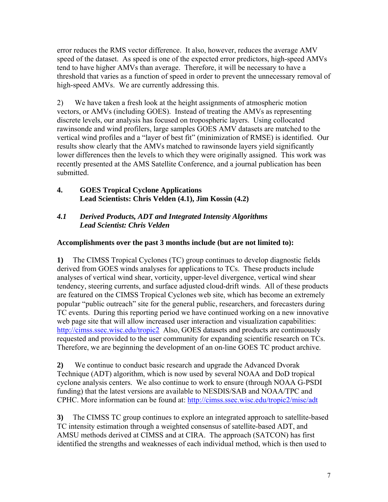error reduces the RMS vector difference. It also, however, reduces the average AMV speed of the dataset. As speed is one of the expected error predictors, high-speed AMVs tend to have higher AMVs than average. Therefore, it will be necessary to have a threshold that varies as a function of speed in order to prevent the unnecessary removal of high-speed AMVs. We are currently addressing this.

2) We have taken a fresh look at the height assignments of atmospheric motion vectors, or AMVs (including GOES). Instead of treating the AMVs as representing discrete levels, our analysis has focused on tropospheric layers. Using collocated rawinsonde and wind profilers, large samples GOES AMV datasets are matched to the vertical wind profiles and a "layer of best fit" (minimization of RMSE) is identified. Our results show clearly that the AMVs matched to rawinsonde layers yield significantly lower differences then the levels to which they were originally assigned. This work was recently presented at the AMS Satellite Conference, and a journal publication has been submitted.

**4. GOES Tropical Cyclone Applications Lead Scientists: Chris Velden (4.1), Jim Kossin (4.2)** 

## *4.1 Derived Products, ADT and Integrated Intensity Algorithms Lead Scientist: Chris Velden*

## **Accomplishments over the past 3 months include (but are not limited to):**

**1)** The CIMSS Tropical Cyclones (TC) group continues to develop diagnostic fields derived from GOES winds analyses for applications to TCs. These products include analyses of vertical wind shear, vorticity, upper-level divergence, vertical wind shear tendency, steering currents, and surface adjusted cloud-drift winds. All of these products are featured on the CIMSS Tropical Cyclones web site, which has become an extremely popular "public outreach" site for the general public, researchers, and forecasters during TC events. During this reporting period we have continued working on a new innovative web page site that will allow increased user interaction and visualization capabilities: http://cimss.ssec.wisc.edu/tropic2 Also, GOES datasets and products are continuously requested and provided to the user community for expanding scientific research on TCs. Therefore, we are beginning the development of an on-line GOES TC product archive.

**2)** We continue to conduct basic research and upgrade the Advanced Dvorak Technique (ADT) algorithm, which is now used by several NOAA and DoD tropical cyclone analysis centers. We also continue to work to ensure (through NOAA G-PSDI funding) that the latest versions are available to NESDIS/SAB and NOAA/TPC and CPHC. More information can be found at: http://cimss.ssec.wisc.edu/tropic2/misc/adt

**3)** The CIMSS TC group continues to explore an integrated approach to satellite-based TC intensity estimation through a weighted consensus of satellite-based ADT, and AMSU methods derived at CIMSS and at CIRA. The approach (SATCON) has first identified the strengths and weaknesses of each individual method, which is then used to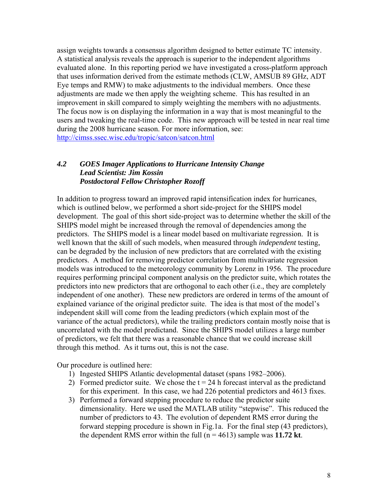assign weights towards a consensus algorithm designed to better estimate TC intensity. A statistical analysis reveals the approach is superior to the independent algorithms evaluated alone. In this reporting period we have investigated a cross-platform approach that uses information derived from the estimate methods (CLW, AMSUB 89 GHz, ADT Eye temps and RMW) to make adjustments to the individual members. Once these adjustments are made we then apply the weighting scheme. This has resulted in an improvement in skill compared to simply weighting the members with no adjustments. The focus now is on displaying the information in a way that is most meaningful to the users and tweaking the real-time code. This new approach will be tested in near real time during the 2008 hurricane season. For more information, see: http://cimss.ssec.wisc.edu/tropic/satcon/satcon.html

#### *4.2 GOES Imager Applications to Hurricane Intensity Change Lead Scientist: Jim Kossin Postdoctoral Fellow Christopher Rozoff*

In addition to progress toward an improved rapid intensification index for hurricanes, which is outlined below, we performed a short side-project for the SHIPS model development. The goal of this short side-project was to determine whether the skill of the SHIPS model might be increased through the removal of dependencies among the predictors. The SHIPS model is a linear model based on multivariate regression. It is well known that the skill of such models, when measured through *independent* testing, can be degraded by the inclusion of new predictors that are correlated with the existing predictors. A method for removing predictor correlation from multivariate regression models was introduced to the meteorology community by Lorenz in 1956. The procedure requires performing principal component analysis on the predictor suite, which rotates the predictors into new predictors that are orthogonal to each other (i.e., they are completely independent of one another). These new predictors are ordered in terms of the amount of explained variance of the original predictor suite. The idea is that most of the model's independent skill will come from the leading predictors (which explain most of the variance of the actual predictors), while the trailing predictors contain mostly noise that is uncorrelated with the model predictand. Since the SHIPS model utilizes a large number of predictors, we felt that there was a reasonable chance that we could increase skill through this method. As it turns out, this is not the case.

Our procedure is outlined here:

- 1) Ingested SHIPS Atlantic developmental dataset (spans 1982–2006).
- 2) Formed predictor suite. We chose the  $t = 24$  h forecast interval as the predictand for this experiment. In this case, we had 226 potential predictors and 4613 fixes.
- 3) Performed a forward stepping procedure to reduce the predictor suite dimensionality. Here we used the MATLAB utility "stepwise". This reduced the number of predictors to 43. The evolution of dependent RMS error during the forward stepping procedure is shown in Fig.1a. For the final step (43 predictors), the dependent RMS error within the full  $(n = 4613)$  sample was 11.72 kt.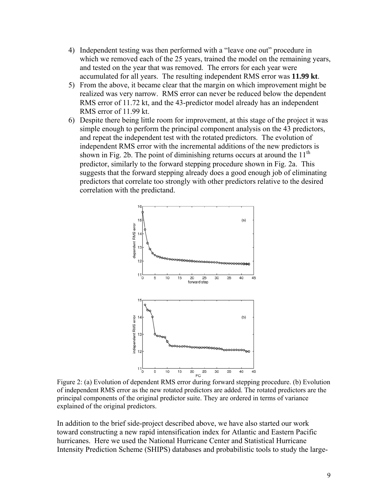- 4) Independent testing was then performed with a "leave one out" procedure in which we removed each of the 25 years, trained the model on the remaining years, and tested on the year that was removed. The errors for each year were accumulated for all years. The resulting independent RMS error was **11.99 kt**.
- 5) From the above, it became clear that the margin on which improvement might be realized was very narrow. RMS error can never be reduced below the dependent RMS error of 11.72 kt, and the 43-predictor model already has an independent RMS error of 11.99 kt.
- 6) Despite there being little room for improvement, at this stage of the project it was simple enough to perform the principal component analysis on the 43 predictors, and repeat the independent test with the rotated predictors. The evolution of independent RMS error with the incremental additions of the new predictors is shown in Fig. 2b. The point of diminishing returns occurs at around the  $11<sup>th</sup>$ predictor, similarly to the forward stepping procedure shown in Fig. 2a. This suggests that the forward stepping already does a good enough job of eliminating predictors that correlate too strongly with other predictors relative to the desired correlation with the predictand.



Figure 2: (a) Evolution of dependent RMS error during forward stepping procedure. (b) Evolution of independent RMS error as the new rotated predictors are added. The rotated predictors are the principal components of the original predictor suite. They are ordered in terms of variance explained of the original predictors.

In addition to the brief side-project described above, we have also started our work toward constructing a new rapid intensification index for Atlantic and Eastern Pacific hurricanes. Here we used the National Hurricane Center and Statistical Hurricane Intensity Prediction Scheme (SHIPS) databases and probabilistic tools to study the large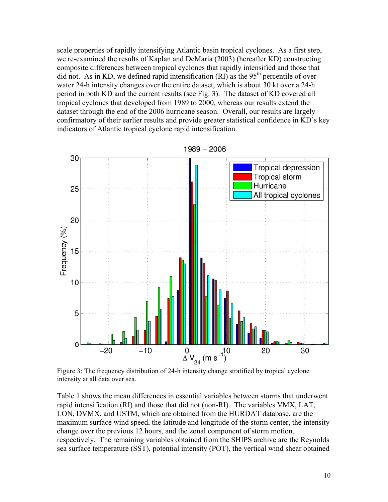scale properties of rapidly intensifying Atlantic basin tropical cyclones. As a first step, we re-examined the results of Kaplan and DeMaria (2003) (hereafter KD) constructing composite differences between tropical cyclones that rapidly intensified and those that did not. As in KD, we defined rapid intensification  $(RI)$  as the 95<sup>th</sup> percentile of overwater 24-h intensity changes over the entire dataset, which is about 30 kt over a 24-h period in both KD and the current results (see Fig. 3). The dataset of KD covered all tropical cyclones that developed from 1989 to 2000, whereas our results extend the dataset through the end of the 2006 hurricane season. Overall, our results are largely confirmatory of their earlier results and provide greater statistical confidence in KD's key indicators of Atlantic tropical cyclone rapid intensification.



Figure 3: The frequency distribution of 24-h intensity change stratified by tropical cyclone intensity at all data over sea.

Table 1 shows the mean differences in essential variables between storms that underwent rapid intensification (RI) and those that did not (non-RI). The variables VMX, LAT, LON, DVMX, and USTM, which are obtained from the HURDAT database, are the maximum surface wind speed, the latitude and longitude of the storm center, the intensity change over the previous 12 hours, and the zonal component of storm motion, respectively. The remaining variables obtained from the SHIPS archive are the Reynolds sea surface temperature (SST), potential intensity (POT), the vertical wind shear obtained

10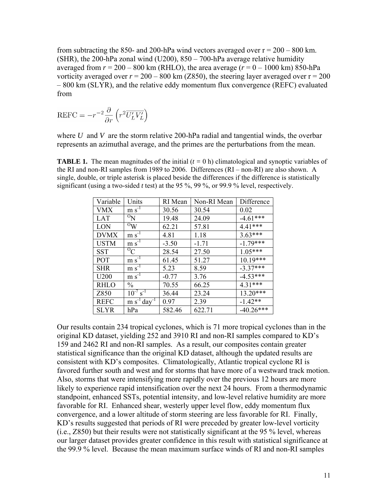from subtracting the 850- and 200-hPa wind vectors averaged over  $r = 200 - 800$  km. (SHR), the 200-hPa zonal wind (U200), 850 – 700-hPa average relative humidity averaged from  $r = 200 - 800$  km (RHLO), the area average  $(r = 0 - 1000$  km) 850-hPa vorticity averaged over  $r = 200 - 800$  km (Z850), the steering layer averaged over  $r = 200$ – 800 km (SLYR), and the relative eddy momentum flux convergence (REFC) evaluated from

$$
REFC = -r^{-2} \frac{\partial}{\partial r} \left( r^2 \overline{U_L' V_L'} \right)
$$

where *U* and *V* are the storm relative 200-hPa radial and tangential winds, the overbar represents an azimuthal average, and the primes are the perturbations from the mean.

**TABLE 1.** The mean magnitudes of the initial  $(t = 0 h)$  climatological and synoptic variables of the RI and non-RI samples from 1989 to 2006. Differences (RI – non-RI) are also shown. A single, double, or triple asterisk is placed beside the differences if the difference is statistically significant (using a two-sided *t* test) at the 95 %, 99 %, or 99.9 % level, respectively.

| Variable         | Units                        | RI Mean | Non-RI Mean | Difference  |
|------------------|------------------------------|---------|-------------|-------------|
| <b>VMX</b>       | $m s-1$                      | 30.56   | 30.54       | 0.02        |
| LAT              | $^{\rm o}$ N                 | 19.48   | 24.09       | $-4.61***$  |
| LON              | $\rm ^{O}W$                  | 62.21   | 57.81       | 4.41***     |
| <b>DVMX</b>      | $m s^{-1}$                   | 4.81    | 1.18        | $3.63***$   |
| <b>USTM</b>      | $m s^{-1}$                   | $-3.50$ | $-1.71$     | $-1.79***$  |
| <b>SST</b>       | ${}^{\circ}C$                | 28.54   | 27.50       | $1.05***$   |
| POT              | $m s-1$                      | 61.45   | 51.27       | 10.19***    |
| <b>SHR</b>       | $m s^{-1}$                   | 5.23    | 8.59        | $-3.37***$  |
| U <sub>200</sub> | $\rm m~s^{\text{-}1}$        | $-0.77$ | 3.76        | $-4.53***$  |
| <b>RHLO</b>      | $\frac{0}{0}$                | 70.55   | 66.25       | $4.31***$   |
| Z850             | $10^{-7}$ s <sup>-1</sup>    | 36.44   | 23.24       | 13.20***    |
| <b>REFC</b>      | $m s^{-1}$ day <sup>-1</sup> | 0.97    | 2.39        | $-1.42**$   |
| <b>SLYR</b>      | hPa                          | 582.46  | 622.71      | $-40.26***$ |

Our results contain 234 tropical cyclones, which is 71 more tropical cyclones than in the original KD dataset, yielding 252 and 3910 RI and non-RI samples compared to KD's 159 and 2462 RI and non-RI samples. As a result, our composites contain greater statistical significance than the original KD dataset, although the updated results are consistent with KD's composites. Climatologically, Atlantic tropical cyclone RI is favored further south and west and for storms that have more of a westward track motion. Also, storms that were intensifying more rapidly over the previous 12 hours are more likely to experience rapid intensification over the next 24 hours. From a thermodynamic standpoint, enhanced SSTs, potential intensity, and low-level relative humidity are more favorable for RI. Enhanced shear, westerly upper level flow, eddy momentum flux convergence, and a lower altitude of storm steering are less favorable for RI. Finally, KD's results suggested that periods of RI were preceded by greater low-level vorticity (i.e., Z850) but their results were not statistically significant at the 95 % level, whereas our larger dataset provides greater confidence in this result with statistical significance at the 99.9 % level. Because the mean maximum surface winds of RI and non-RI samples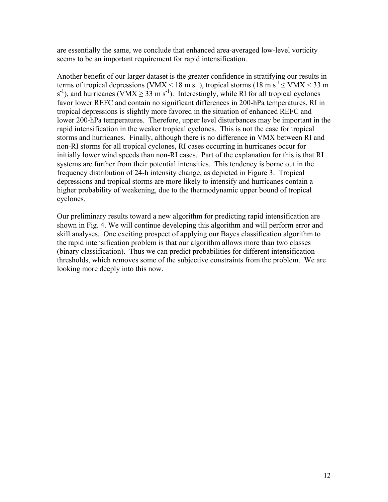are essentially the same, we conclude that enhanced area-averaged low-level vorticity seems to be an important requirement for rapid intensification.

Another benefit of our larger dataset is the greater confidence in stratifying our results in terms of tropical depressions (VMX < 18 m s<sup>-1</sup>), tropical storms (18 m s<sup>-1</sup>  $\leq$  VMX < 33 m  $s^{-1}$ ), and hurricanes (VMX  $\geq 33$  m s<sup>-1</sup>). Interestingly, while RI for all tropical cyclones favor lower REFC and contain no significant differences in 200-hPa temperatures, RI in tropical depressions is slightly more favored in the situation of enhanced REFC and lower 200-hPa temperatures. Therefore, upper level disturbances may be important in the rapid intensification in the weaker tropical cyclones. This is not the case for tropical storms and hurricanes. Finally, although there is no difference in VMX between RI and non-RI storms for all tropical cyclones, RI cases occurring in hurricanes occur for initially lower wind speeds than non-RI cases. Part of the explanation for this is that RI systems are further from their potential intensities. This tendency is borne out in the frequency distribution of 24-h intensity change, as depicted in Figure 3. Tropical depressions and tropical storms are more likely to intensify and hurricanes contain a higher probability of weakening, due to the thermodynamic upper bound of tropical cyclones.

Our preliminary results toward a new algorithm for predicting rapid intensification are shown in Fig. 4. We will continue developing this algorithm and will perform error and skill analyses. One exciting prospect of applying our Bayes classification algorithm to the rapid intensification problem is that our algorithm allows more than two classes (binary classification). Thus we can predict probabilities for different intensification thresholds, which removes some of the subjective constraints from the problem. We are looking more deeply into this now.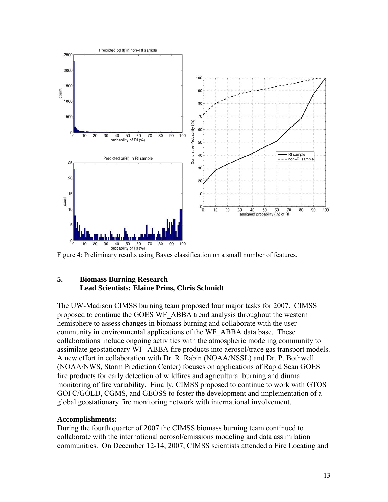

Figure 4: Preliminary results using Bayes classification on a small number of features.

#### **5. Biomass Burning Research Lead Scientists: Elaine Prins, Chris Schmidt**

The UW-Madison CIMSS burning team proposed four major tasks for 2007. CIMSS proposed to continue the GOES WF\_ABBA trend analysis throughout the western hemisphere to assess changes in biomass burning and collaborate with the user community in environmental applications of the WF\_ABBA data base. These collaborations include ongoing activities with the atmospheric modeling community to assimilate geostationary WF\_ABBA fire products into aerosol/trace gas transport models. A new effort in collaboration with Dr. R. Rabin (NOAA/NSSL) and Dr. P. Bothwell (NOAA/NWS, Storm Prediction Center) focuses on applications of Rapid Scan GOES fire products for early detection of wildfires and agricultural burning and diurnal monitoring of fire variability. Finally, CIMSS proposed to continue to work with GTOS GOFC/GOLD, CGMS, and GEOSS to foster the development and implementation of a global geostationary fire monitoring network with international involvement.

#### **Accomplishments:**

During the fourth quarter of 2007 the CIMSS biomass burning team continued to collaborate with the international aerosol/emissions modeling and data assimilation communities. On December 12-14, 2007, CIMSS scientists attended a Fire Locating and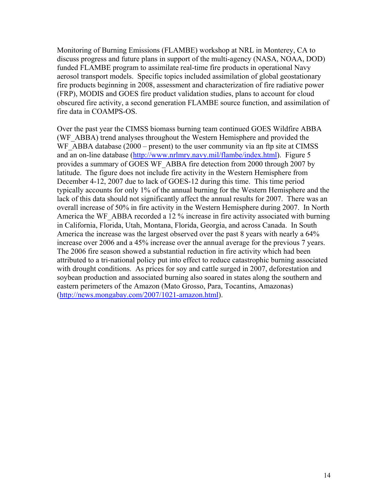Monitoring of Burning Emissions (FLAMBE) workshop at NRL in Monterey, CA to discuss progress and future plans in support of the multi-agency (NASA, NOAA, DOD) funded FLAMBE program to assimilate real-time fire products in operational Navy aerosol transport models. Specific topics included assimilation of global geostationary fire products beginning in 2008, assessment and characterization of fire radiative power (FRP), MODIS and GOES fire product validation studies, plans to account for cloud obscured fire activity, a second generation FLAMBE source function, and assimilation of fire data in COAMPS-OS.

Over the past year the CIMSS biomass burning team continued GOES Wildfire ABBA (WF\_ABBA) trend analyses throughout the Western Hemisphere and provided the WF ABBA database (2000 – present) to the user community via an ftp site at CIMSS and an on-line database (http://www.nrlmry.navy.mil/flambe/index.html). Figure 5 provides a summary of GOES WF\_ABBA fire detection from 2000 through 2007 by latitude. The figure does not include fire activity in the Western Hemisphere from December 4-12, 2007 due to lack of GOES-12 during this time. This time period typically accounts for only 1% of the annual burning for the Western Hemisphere and the lack of this data should not significantly affect the annual results for 2007. There was an overall increase of 50% in fire activity in the Western Hemisphere during 2007. In North America the WF\_ABBA recorded a 12 % increase in fire activity associated with burning in California, Florida, Utah, Montana, Florida, Georgia, and across Canada. In South America the increase was the largest observed over the past 8 years with nearly a 64% increase over 2006 and a 45% increase over the annual average for the previous 7 years. The 2006 fire season showed a substantial reduction in fire activity which had been attributed to a tri-national policy put into effect to reduce catastrophic burning associated with drought conditions. As prices for soy and cattle surged in 2007, deforestation and soybean production and associated burning also soared in states along the southern and eastern perimeters of the Amazon (Mato Grosso, Para, Tocantins, Amazonas) (http://news.mongabay.com/2007/1021-amazon.html).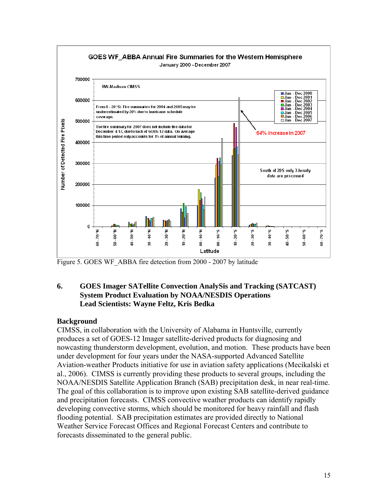

Figure 5. GOES WF\_ABBA fire detection from 2000 - 2007 by latitude

### **6. GOES Imager SATellite Convection AnalySis and Tracking (SATCAST) System Product Evaluation by NOAA/NESDIS Operations Lead Scientists: Wayne Feltz, Kris Bedka**

### **Background**

CIMSS, in collaboration with the University of Alabama in Huntsville, currently produces a set of GOES-12 Imager satellite-derived products for diagnosing and nowcasting thunderstorm development, evolution, and motion. These products have been under development for four years under the NASA-supported Advanced Satellite Aviation-weather Products initiative for use in aviation safety applications (Mecikalski et al., 2006). CIMSS is currently providing these products to several groups, including the NOAA/NESDIS Satellite Application Branch (SAB) precipitation desk, in near real-time. The goal of this collaboration is to improve upon existing SAB satellite-derived guidance and precipitation forecasts. CIMSS convective weather products can identify rapidly developing convective storms, which should be monitored for heavy rainfall and flash flooding potential. SAB precipitation estimates are provided directly to National Weather Service Forecast Offices and Regional Forecast Centers and contribute to forecasts disseminated to the general public.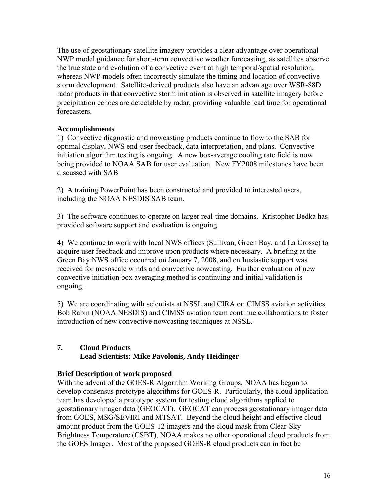The use of geostationary satellite imagery provides a clear advantage over operational NWP model guidance for short-term convective weather forecasting, as satellites observe the true state and evolution of a convective event at high temporal/spatial resolution, whereas NWP models often incorrectly simulate the timing and location of convective storm development. Satellite-derived products also have an advantage over WSR-88D radar products in that convective storm initiation is observed in satellite imagery before precipitation echoes are detectable by radar, providing valuable lead time for operational forecasters.

### **Accomplishments**

1) Convective diagnostic and nowcasting products continue to flow to the SAB for optimal display, NWS end-user feedback, data interpretation, and plans. Convective initiation algorithm testing is ongoing. A new box-average cooling rate field is now being provided to NOAA SAB for user evaluation. New FY2008 milestones have been discussed with SAB

2) A training PowerPoint has been constructed and provided to interested users, including the NOAA NESDIS SAB team.

3) The software continues to operate on larger real-time domains. Kristopher Bedka has provided software support and evaluation is ongoing.

4) We continue to work with local NWS offices (Sullivan, Green Bay, and La Crosse) to acquire user feedback and improve upon products where necessary. A briefing at the Green Bay NWS office occurred on January 7, 2008, and enthusiastic support was received for mesoscale winds and convective nowcasting. Further evaluation of new convective initiation box averaging method is continuing and initial validation is ongoing.

5) We are coordinating with scientists at NSSL and CIRA on CIMSS aviation activities. Bob Rabin (NOAA NESDIS) and CIMSS aviation team continue collaborations to foster introduction of new convective nowcasting techniques at NSSL.

### **7. Cloud Products Lead Scientists: Mike Pavolonis, Andy Heidinger**

### **Brief Description of work proposed**

With the advent of the GOES-R Algorithm Working Groups, NOAA has begun to develop consensus prototype algorithms for GOES-R. Particularly, the cloud application team has developed a prototype system for testing cloud algorithms applied to geostationary imager data (GEOCAT). GEOCAT can process geostationary imager data from GOES, MSG/SEVIRI and MTSAT. Beyond the cloud height and effective cloud amount product from the GOES-12 imagers and the cloud mask from Clear-Sky Brightness Temperature (CSBT), NOAA makes no other operational cloud products from the GOES Imager. Most of the proposed GOES-R cloud products can in fact be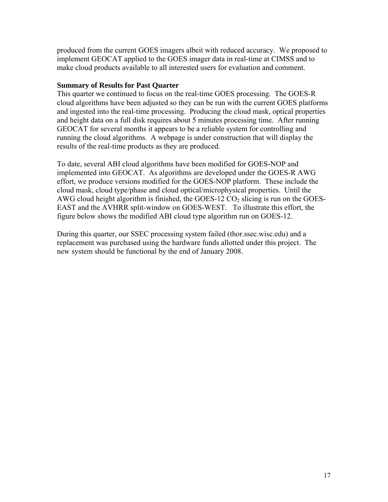produced from the current GOES imagers albeit with reduced accuracy. We proposed to implement GEOCAT applied to the GOES imager data in real-time at CIMSS and to make cloud products available to all interested users for evaluation and comment.

#### **Summary of Results for Past Quarter**

This quarter we continued to focus on the real-time GOES processing. The GOES-R cloud algorithms have been adjusted so they can be run with the current GOES platforms and ingested into the real-time processing. Producing the cloud mask, optical properties and height data on a full disk requires about 5 minutes processing time. After running GEOCAT for several months it appears to be a reliable system for controlling and running the cloud algorithms. A webpage is under construction that will display the results of the real-time products as they are produced.

To date, several ABI cloud algorithms have been modified for GOES-NOP and implemented into GEOCAT. As algorithms are developed under the GOES-R AWG effort, we produce versions modified for the GOES-NOP platform. These include the cloud mask, cloud type/phase and cloud optical/microphysical properties. Until the AWG cloud height algorithm is finished, the GOES-12  $CO<sub>2</sub>$  slicing is run on the GOES-EAST and the AVHRR split-window on GOES-WEST. To illustrate this effort, the figure below shows the modified ABI cloud type algorithm run on GOES-12.

During this quarter, our SSEC processing system failed (thor.ssec.wisc.edu) and a replacement was purchased using the hardware funds allotted under this project. The new system should be functional by the end of January 2008.